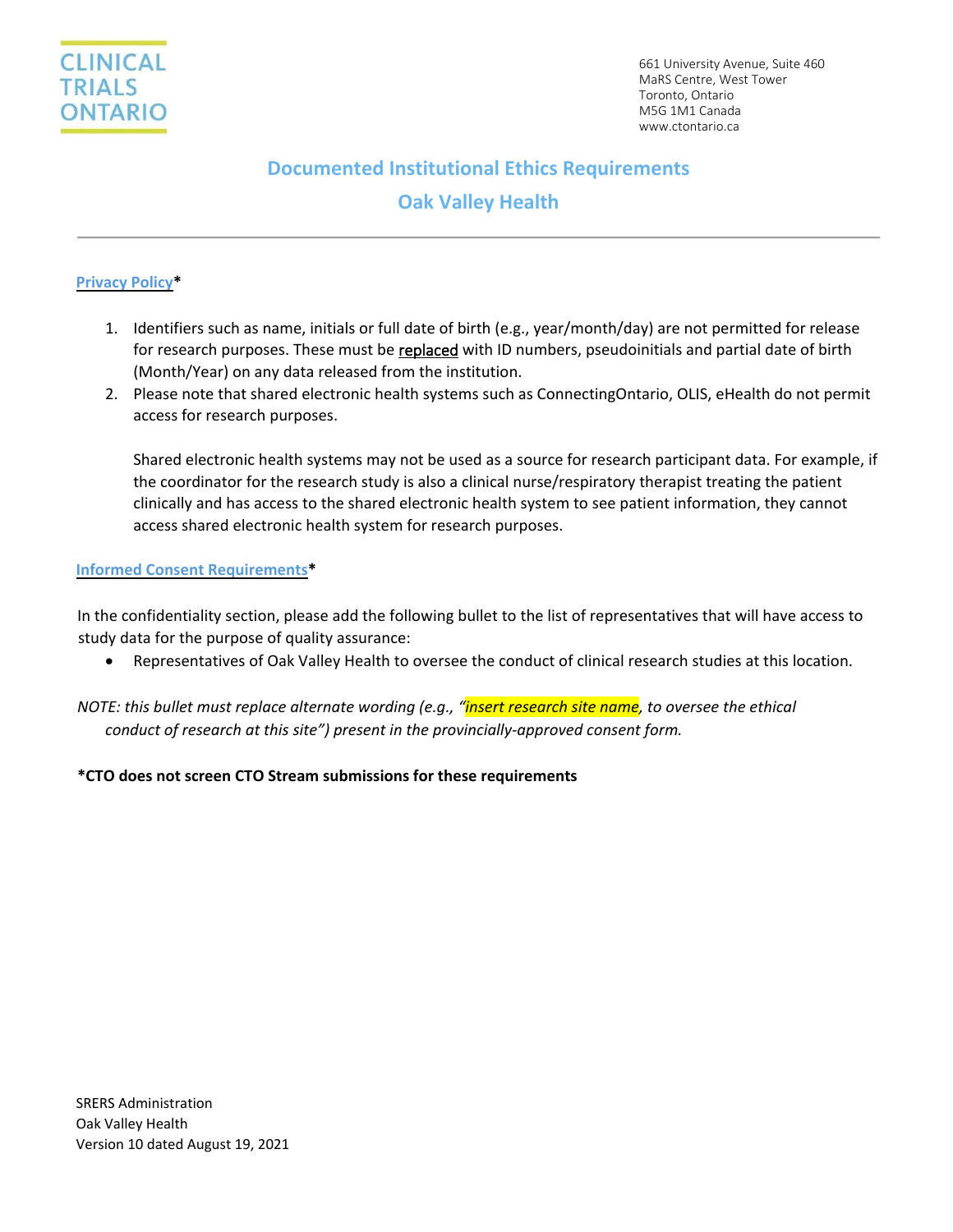

# **Documented Institutional Ethics Requirements**

## **Oak Valley Health**

#### **Privacy Policy\***

- 1. Identifiers such as name, initials or full date of birth (e.g., year/month/day) are not permitted for release for research purposes. These must be replaced with ID numbers, pseudoinitials and partial date of birth (Month/Year) on any data released from the institution.
- 2. Please note that shared electronic health systems such as ConnectingOntario, OLIS, eHealth do not permit access for research purposes.

Shared electronic health systems may not be used as a source for research participant data. For example, if the coordinator for the research study is also a clinical nurse/respiratory therapist treating the patient clinically and has access to the shared electronic health system to see patient information, they cannot access shared electronic health system for research purposes.

#### **Informed Consent Requirements\***

In the confidentiality section, please add the following bullet to the list of representatives that will have access to study data for the purpose of quality assurance:

- Representatives of Oak Valley Health to oversee the conduct of clinical research studies at this location.
- *NOTE: this bullet must replace alternate wording (e.g., "insert research site name, to oversee the ethical conduct of research at this site") present in the provincially-approved consent form.*

#### **\*CTO does not screen CTO Stream submissions for these requirements**

SRERS Administration Oak Valley Health Version 10 dated August 19, 2021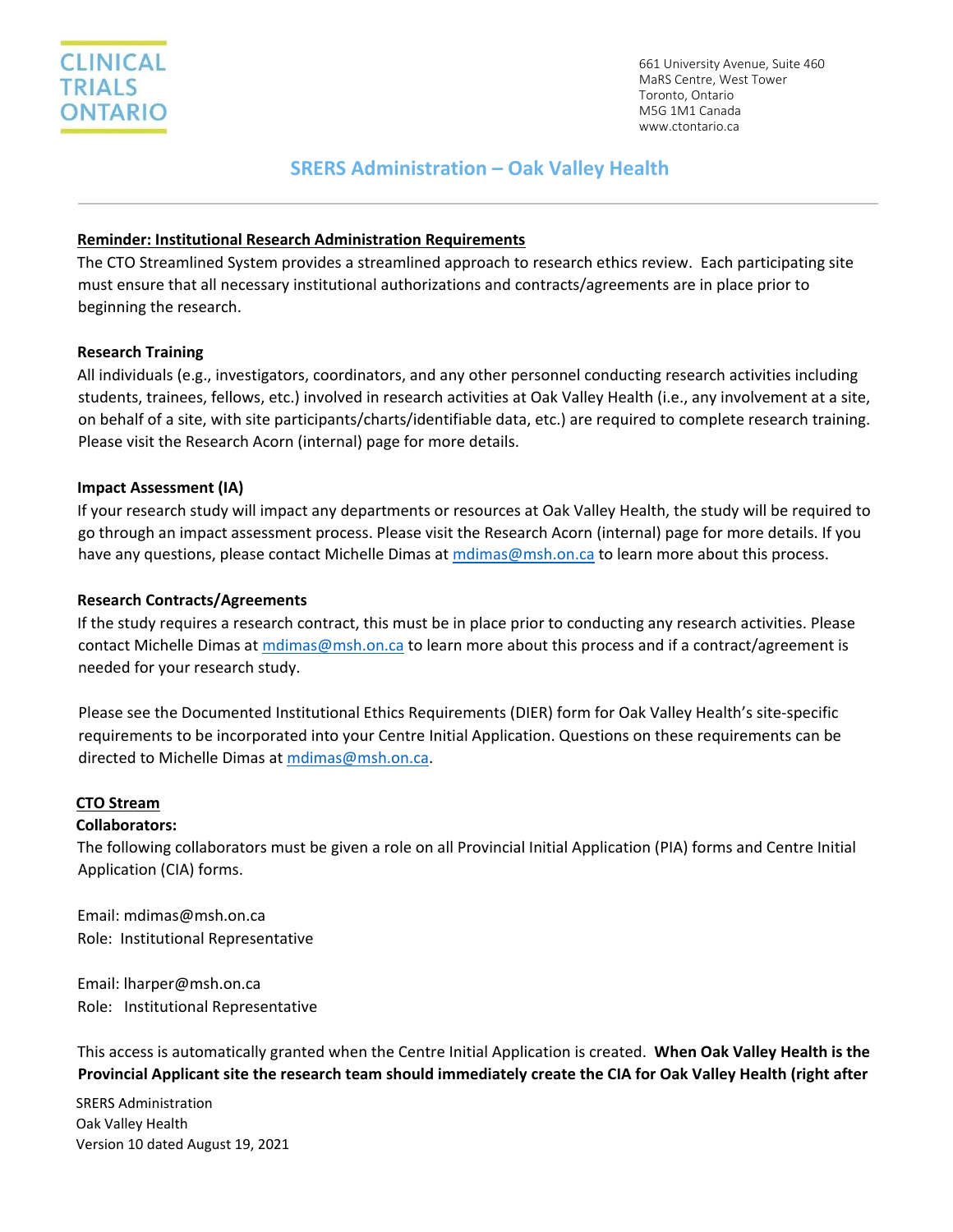

661 University Avenue, Suite 460 MaRS Centre, West Tower Toronto, Ontario M5G 1M1 Canada www.ctontario.ca

### **SRERS Administration – Oak Valley Health**

#### **Reminder: Institutional Research Administration Requirements**

The CTO Streamlined System provides a streamlined approach to research ethics review. Each participating site must ensure that all necessary institutional authorizations and contracts/agreements are in place prior to beginning the research.

#### **Research Training**

All individuals (e.g., investigators, coordinators, and any other personnel conducting research activities including students, trainees, fellows, etc.) involved in research activities at Oak Valley Health (i.e., any involvement at a site, on behalf of a site, with site participants/charts/identifiable data, etc.) are required to complete research training. Please visit the Research Acorn (internal) page for more details.

#### **Impact Assessment (IA)**

If your research study will impact any departments or resources at Oak Valley Health, the study will be required to go through an impact assessment process. Please visit the Research Acorn (internal) page for more details. If you have any questions, please contact Michelle Dimas at [mdimas@msh.on.ca](mailto:mdimas@msh.on.ca) to learn more about this process.

#### **Research Contracts/Agreements**

If the study requires a research contract, this must be in place prior to conducting any research activities. Please contact Michelle Dimas a[t mdimas@msh.on.ca](mailto:mdimas@msh.on.ca) to learn more about this process and if a contract/agreement is needed for your research study.

Please see the Documented Institutional Ethics Requirements (DIER) form for Oak Valley Health's site-specific requirements to be incorporated into your Centre Initial Application. Questions on these requirements can be directed to Michelle Dimas at [mdimas@msh.on.ca.](mailto:mdimas@msh.on.ca)

#### **CTO Stream**

#### **Collaborators:**

The following collaborators must be given a role on all Provincial Initial Application (PIA) forms and Centre Initial Application (CIA) forms.

Email: mdimas@msh.on.ca Role: Institutional Representative

Email: lharper@msh.on.ca Role: Institutional Representative

This access is automatically granted when the Centre Initial Application is created. **When Oak Valley Health is the Provincial Applicant site the research team should immediately create the CIA for Oak Valley Health (right after** 

SRERS Administration Oak Valley Health Version 10 dated August 19, 2021